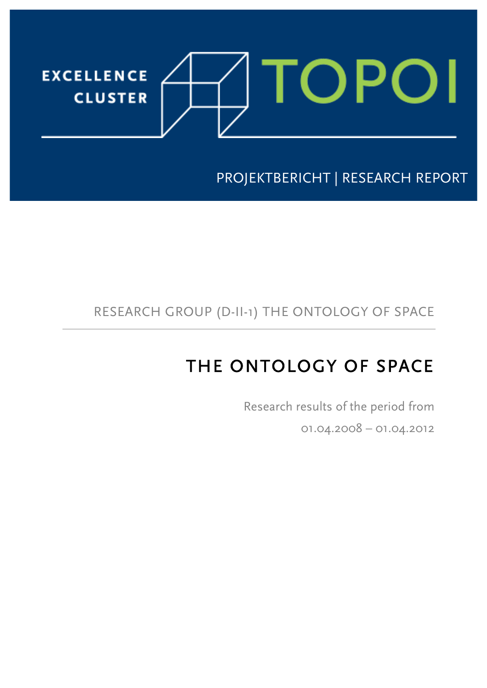

j

PROJEKTBERICHT | RESEARCH REPORT

# RESEARCH GROUP (D-II-1) THE ONTOLOGY OF SPACE

# THE ONTOLOGY OF SPACE

 Research results of the period from 01.04.2008 – 01.04.2012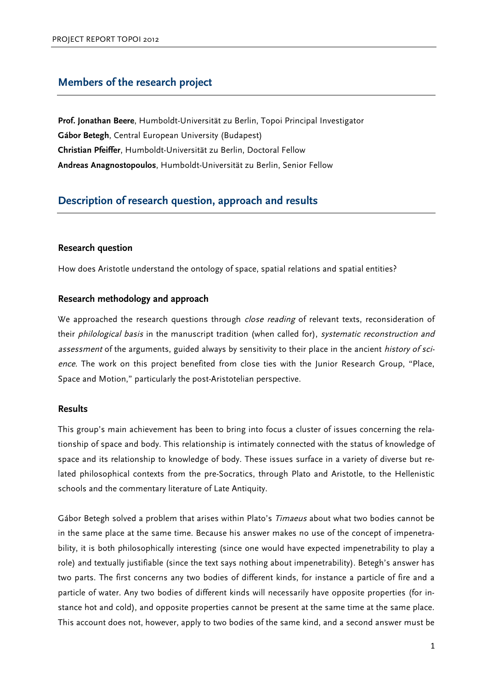### **Members of the research project**

**Prof. Jonathan Beere**, Humboldt-Universität zu Berlin, Topoi Principal Investigator **Gábor Betegh**, Central European University (Budapest) **Christian Pfeiffer**, Humboldt-Universität zu Berlin, Doctoral Fellow **Andreas Anagnostopoulos**, Humboldt-Universität zu Berlin, Senior Fellow

## **Description of research question, approach and results**

#### **Research question**

How does Aristotle understand the ontology of space, spatial relations and spatial entities?

#### **Research methodology and approach**

We approached the research questions through *close reading* of relevant texts, reconsideration of their philological basis in the manuscript tradition (when called for), systematic reconstruction and assessment of the arguments, guided always by sensitivity to their place in the ancient history of science. The work on this project benefited from close ties with the Junior Research Group, "Place, Space and Motion," particularly the post-Aristotelian perspective.

#### **Results**

This group's main achievement has been to bring into focus a cluster of issues concerning the relationship of space and body. This relationship is intimately connected with the status of knowledge of space and its relationship to knowledge of body. These issues surface in a variety of diverse but related philosophical contexts from the pre-Socratics, through Plato and Aristotle, to the Hellenistic schools and the commentary literature of Late Antiquity.

Gábor Betegh solved a problem that arises within Plato's Timaeus about what two bodies cannot be in the same place at the same time. Because his answer makes no use of the concept of impenetrability, it is both philosophically interesting (since one would have expected impenetrability to play a role) and textually justifiable (since the text says nothing about impenetrability). Betegh's answer has two parts. The first concerns any two bodies of different kinds, for instance a particle of fire and a particle of water. Any two bodies of different kinds will necessarily have opposite properties (for instance hot and cold), and opposite properties cannot be present at the same time at the same place. This account does not, however, apply to two bodies of the same kind, and a second answer must be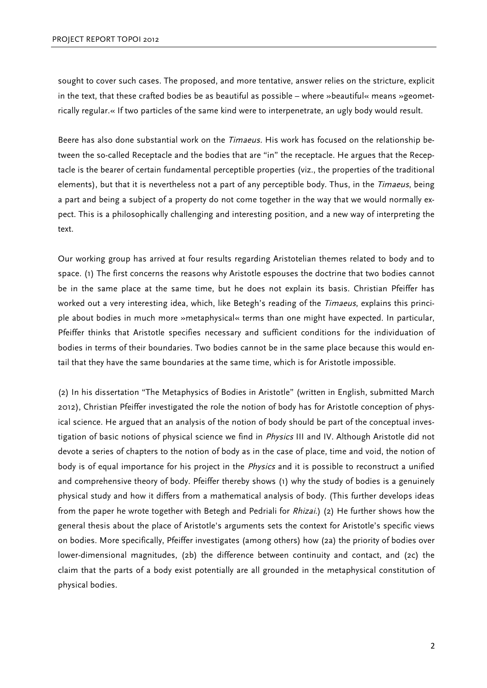sought to cover such cases. The proposed, and more tentative, answer relies on the stricture, explicit in the text, that these crafted bodies be as beautiful as possible – where »beautiful« means »geometrically regular.« If two particles of the same kind were to interpenetrate, an ugly body would result.

Beere has also done substantial work on the *Timaeus*. His work has focused on the relationship between the so-called Receptacle and the bodies that are "in" the receptacle. He argues that the Receptacle is the bearer of certain fundamental perceptible properties (viz., the properties of the traditional elements), but that it is nevertheless not a part of any perceptible body. Thus, in the Timaeus, being a part and being a subject of a property do not come together in the way that we would normally expect. This is a philosophically challenging and interesting position, and a new way of interpreting the text.

Our working group has arrived at four results regarding Aristotelian themes related to body and to space. (1) The first concerns the reasons why Aristotle espouses the doctrine that two bodies cannot be in the same place at the same time, but he does not explain its basis. Christian Pfeiffer has worked out a very interesting idea, which, like Betegh's reading of the Timaeus, explains this principle about bodies in much more »metaphysical« terms than one might have expected. In particular, Pfeiffer thinks that Aristotle specifies necessary and sufficient conditions for the individuation of bodies in terms of their boundaries. Two bodies cannot be in the same place because this would entail that they have the same boundaries at the same time, which is for Aristotle impossible.

(2) In his dissertation "The Metaphysics of Bodies in Aristotle" (written in English, submitted March 2012), Christian Pfeiffer investigated the role the notion of body has for Aristotle conception of physical science. He argued that an analysis of the notion of body should be part of the conceptual investigation of basic notions of physical science we find in Physics III and IV. Although Aristotle did not devote a series of chapters to the notion of body as in the case of place, time and void, the notion of body is of equal importance for his project in the *Physics* and it is possible to reconstruct a unified and comprehensive theory of body. Pfeiffer thereby shows (1) why the study of bodies is a genuinely physical study and how it differs from a mathematical analysis of body. (This further develops ideas from the paper he wrote together with Betegh and Pedriali for *Rhizai*.) (2) He further shows how the general thesis about the place of Aristotle's arguments sets the context for Aristotle's specific views on bodies. More specifically, Pfeiffer investigates (among others) how (2a) the priority of bodies over lower-dimensional magnitudes, (2b) the difference between continuity and contact, and (2c) the claim that the parts of a body exist potentially are all grounded in the metaphysical constitution of physical bodies.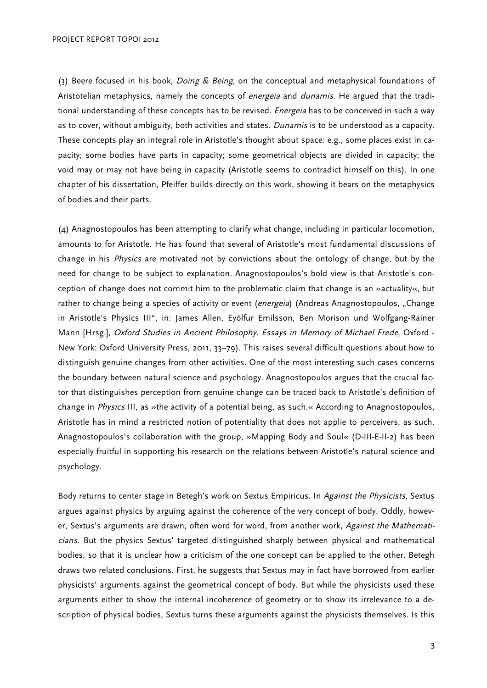(3) Beere focused in his book, *Doing & Being*, on the conceptual and metaphysical foundations of Aristotelian metaphysics, namely the concepts of *energeia* and *dunamis*. He argued that the traditional understanding of these concepts has to be revised. *Energeia* has to be conceived in such a way as to cover, without ambiguity, both activities and states. *Dunamis* is to be understood as a capacity. These concepts play an integral role in Aristotle's thought about space: e.g., some places exist in capacity; some bodies have parts in capacity; some geometrical objects are divided in capacity; the void may or may not have being in capacity (Aristotle seems to contradict himself on this). In one chapter of his dissertation, Pfeiffer builds directly on this work, showing it bears on the metaphysics of bodies and their parts.

(4) Anagnostopoulos has been attempting to clarify what change, including in particular locomotion, amounts to for Aristotle. He has found that several of Aristotle's most fundamental discussions of change in his *Physics* are motivated not by convictions about the ontology of change, but by the need for change to be subject to explanation. Anagnostopoulos's bold view is that Aristotle's conception of change does not commit him to the problematic claim that change is an »actuality«, but rather to change being a species of activity or event (energeia) (Andreas Anagnostopoulos, "Change in Aristotle's Physics III", in: James Allen, Eyólfur Emilsson, Ben Morison und Wolfgang-Rainer Mann [Hrsg.], Oxford Studies in Ancient Philosophy. Essays in Memory of Michael Frede, Oxford - New York: Oxford University Press, 2011, 33–79). This raises several difficult questions about how to distinguish genuine changes from other activities. One of the most interesting such cases concerns the boundary between natural science and psychology. Anagnostopoulos argues that the crucial factor that distinguishes perception from genuine change can be traced back to Aristotle's definition of change in Physics III, as »the activity of a potential being, as such.« According to Anagnostopoulos, Aristotle has in mind a restricted notion of potentiality that does not applie to perceivers, as such. Anagnostopoulos's collaboration with the group, »Mapping Body and Soul« (D-III-E-II-2) has been especially fruitful in supporting his research on the relations between Aristotle's natural science and psychology.

Body returns to center stage in Betegh's work on Sextus Empiricus. In Against the Physicists, Sextus argues against physics by arguing against the coherence of the very concept of body. Oddly, however, Sextus's arguments are drawn, often word for word, from another work, Against the Mathematicians. But the physics Sextus' targeted distinguished sharply between physical and mathematical bodies, so that it is unclear how a criticism of the one concept can be applied to the other. Betegh draws two related conclusions. First, he suggests that Sextus may in fact have borrowed from earlier physicists' arguments against the geometrical concept of body. But while the physicists used these arguments either to show the internal incoherence of geometry or to show its irrelevance to a description of physical bodies, Sextus turns these arguments against the physicists themselves. Is this